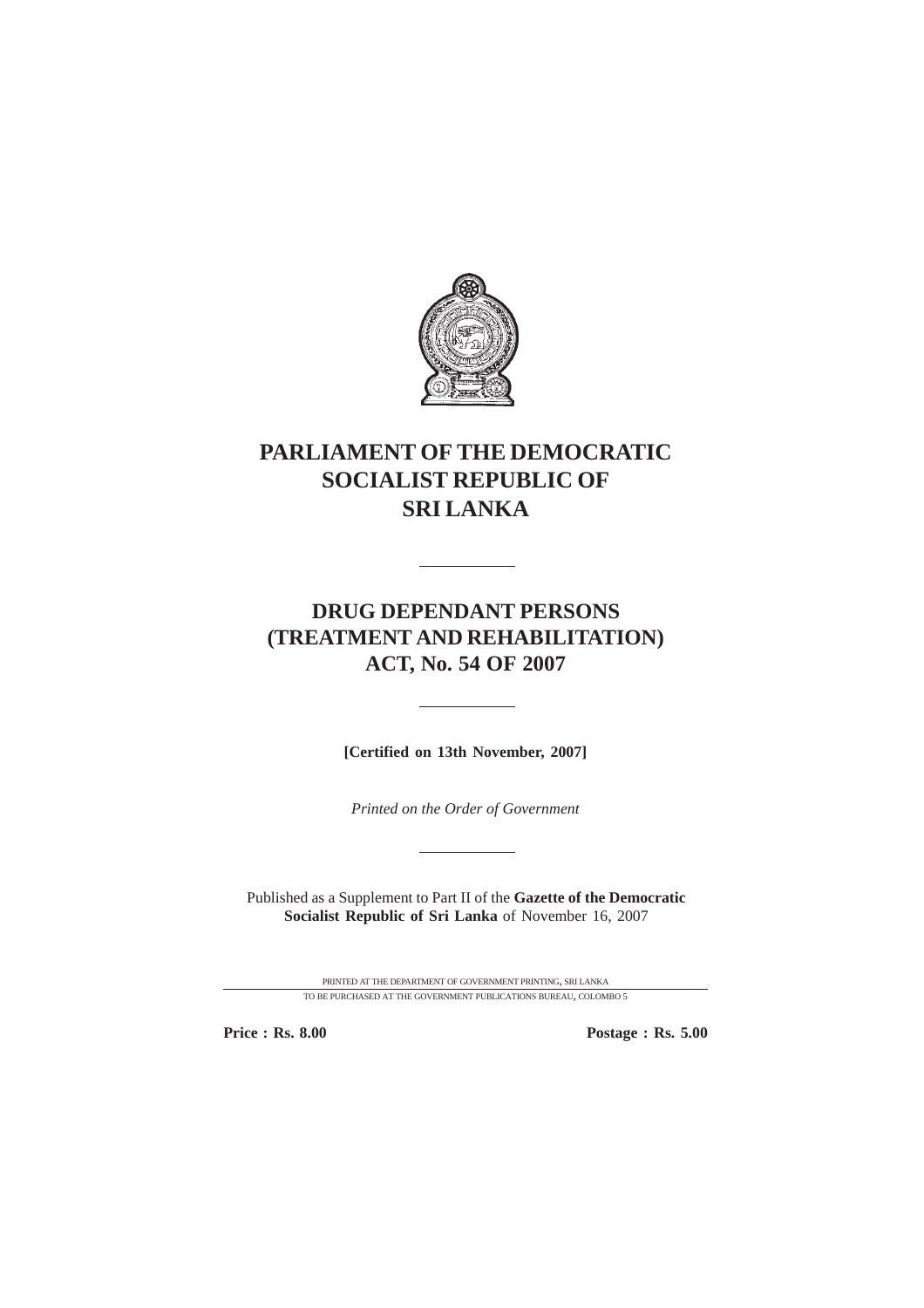

# **PARLIAMENT OF THE DEMOCRATIC SOCIALIST REPUBLIC OF SRI LANKA**

## **DRUG DEPENDANT PERSONS (TREATMENT AND REHABILITATION) ACT, No. 54 OF 2007**

 $\overline{a}$ 

**[Certified on 13th November, 2007]**

*Printed on the Order of Government*

Published as a Supplement to Part II of the **Gazette of the Democratic Socialist Republic of Sri Lanka** of November 16, 2007

> PRINTED AT THE DEPARTMENT OF GOVERNMENT PRINTING, SRI LANKA TO BE PURCHASED AT THE GOVERNMENT PUBLICATIONS BUREAU, COLOMBO 5

**Price : Rs. 8.00 Postage : Rs. 5.00**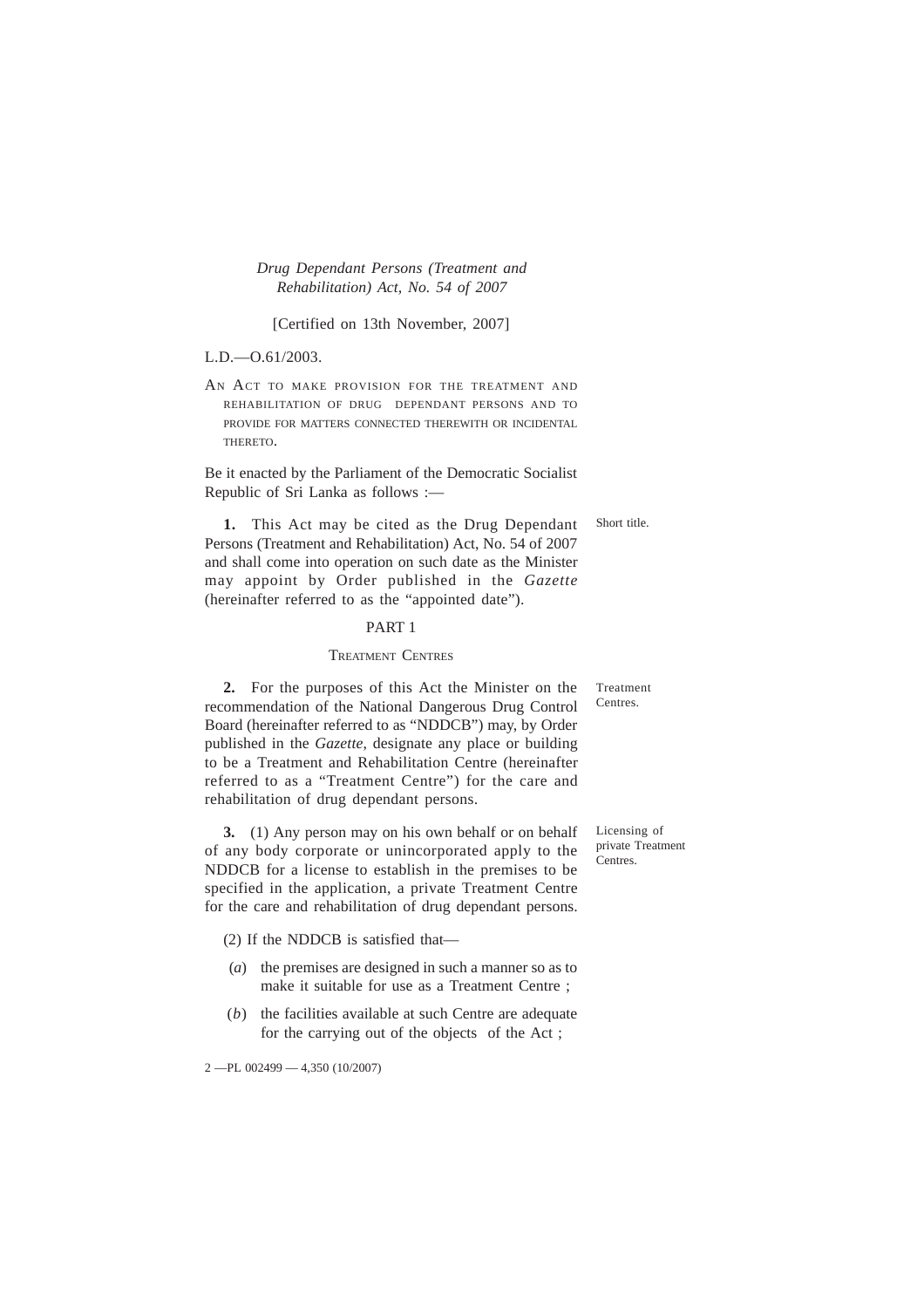*Drug Dependant Persons (Treatment and Rehabilitation) Act, No. 54 of 2007*

[Certified on 13th November, 2007]

L.D.—O.61/2003.

AN ACT TO MAKE PROVISION FOR THE TREATMENT AND REHABILITATION OF DRUG DEPENDANT PERSONS AND TO PROVIDE FOR MATTERS CONNECTED THEREWITH OR INCIDENTAL THERETO.

Be it enacted by the Parliament of the Democratic Socialist Republic of Sri Lanka as follows :—

Short title.

**1.** This Act may be cited as the Drug Dependant Persons (Treatment and Rehabilitation) Act, No. 54 of 2007 and shall come into operation on such date as the Minister may appoint by Order published in the *Gazette* (hereinafter referred to as the "appointed date").

## PART 1

## TREATMENT CENTRES

**2.** For the purposes of this Act the Minister on the recommendation of the National Dangerous Drug Control Board (hereinafter referred to as "NDDCB") may, by Order published in the *Gazette*, designate any place or building to be a Treatment and Rehabilitation Centre (hereinafter referred to as a "Treatment Centre") for the care and rehabilitation of drug dependant persons.

**3.** (1) Any person may on his own behalf or on behalf of any body corporate or unincorporated apply to the NDDCB for a license to establish in the premises to be specified in the application, a private Treatment Centre for the care and rehabilitation of drug dependant persons.

(2) If the NDDCB is satisfied that—

- (*a*) the premises are designed in such a manner so as to make it suitable for use as a Treatment Centre ;
- (*b*) the facilities available at such Centre are adequate for the carrying out of the objects of the Act ;

2 —PL 002499 — 4,350 (10/2007)

Treatment Centres.

Licensing of private Treatment Centres.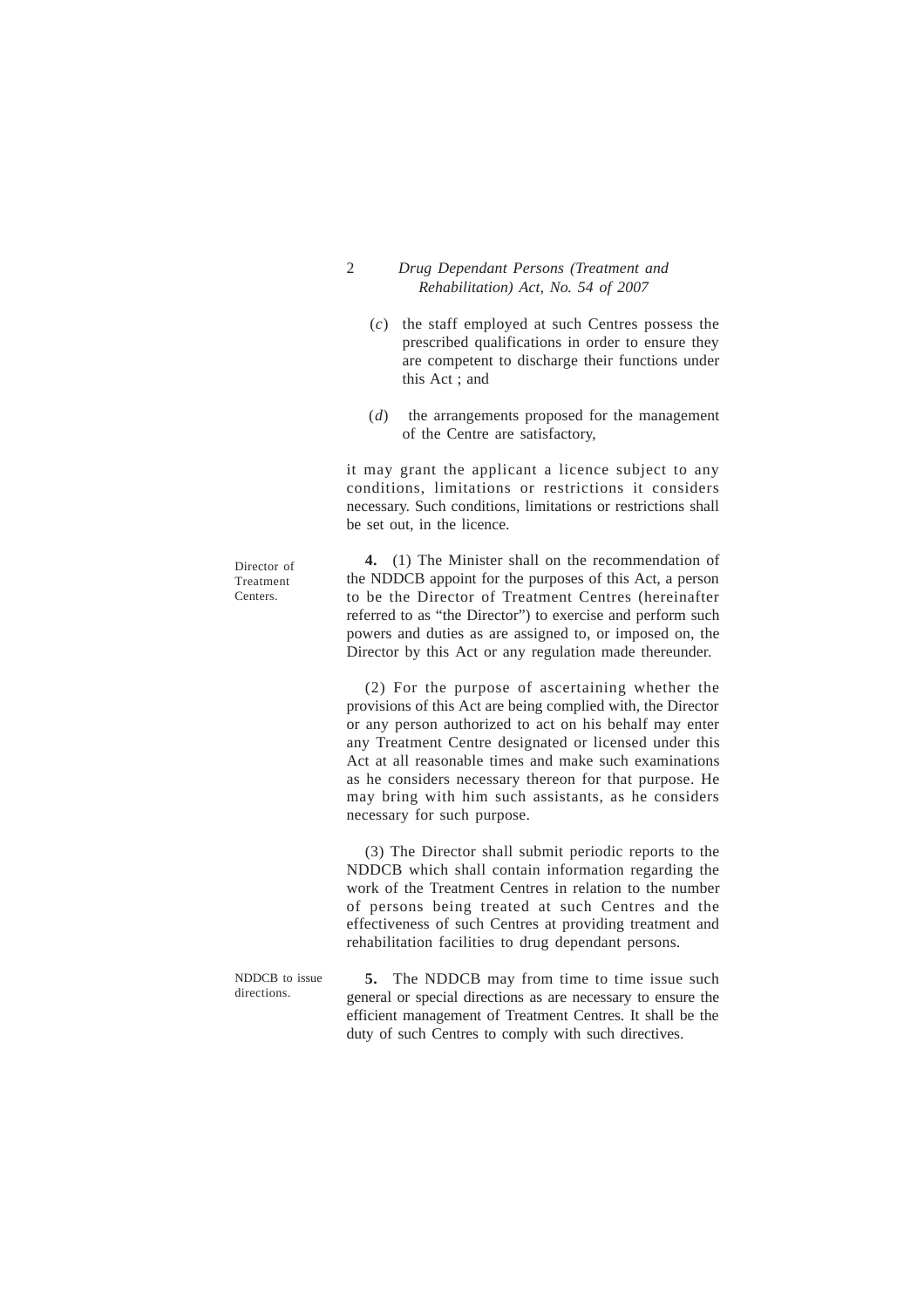- 2 *Drug Dependant Persons (Treatment and Rehabilitation) Act, No. 54 of 2007*
	- (*c*) the staff employed at such Centres possess the prescribed qualifications in order to ensure they are competent to discharge their functions under this Act ; and
	- (*d*) the arrangements proposed for the management of the Centre are satisfactory,

it may grant the applicant a licence subject to any conditions, limitations or restrictions it considers necessary. Such conditions, limitations or restrictions shall be set out, in the licence.

**4.** (1) The Minister shall on the recommendation of the NDDCB appoint for the purposes of this Act, a person to be the Director of Treatment Centres (hereinafter referred to as "the Director") to exercise and perform such powers and duties as are assigned to, or imposed on, the Director by this Act or any regulation made thereunder.

Director of Treatment Centers.

> (2) For the purpose of ascertaining whether the provisions of this Act are being complied with, the Director or any person authorized to act on his behalf may enter any Treatment Centre designated or licensed under this Act at all reasonable times and make such examinations as he considers necessary thereon for that purpose. He may bring with him such assistants, as he considers necessary for such purpose.

> (3) The Director shall submit periodic reports to the NDDCB which shall contain information regarding the work of the Treatment Centres in relation to the number of persons being treated at such Centres and the effectiveness of such Centres at providing treatment and rehabilitation facilities to drug dependant persons.

> **5.** The NDDCB may from time to time issue such general or special directions as are necessary to ensure the efficient management of Treatment Centres. It shall be the duty of such Centres to comply with such directives.

NDDCB to issue directions.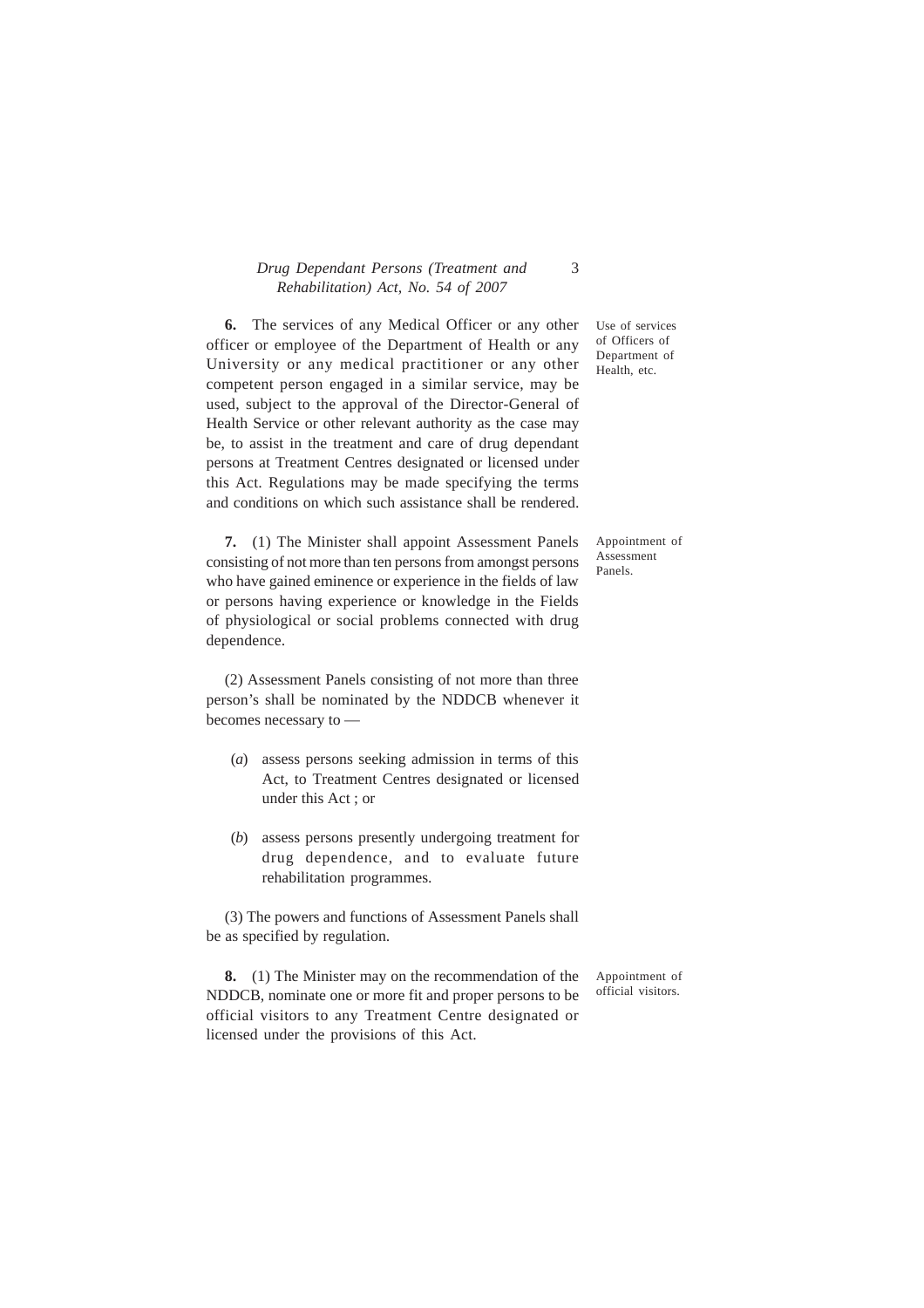## *Drug Dependant Persons (Treatment and* 3 *Rehabilitation) Act, No. 54 of 2007*

**6.** The services of any Medical Officer or any other officer or employee of the Department of Health or any University or any medical practitioner or any other competent person engaged in a similar service, may be used, subject to the approval of the Director-General of Health Service or other relevant authority as the case may be, to assist in the treatment and care of drug dependant persons at Treatment Centres designated or licensed under this Act. Regulations may be made specifying the terms and conditions on which such assistance shall be rendered.

**7.** (1) The Minister shall appoint Assessment Panels consisting of not more than ten persons from amongst persons who have gained eminence or experience in the fields of law or persons having experience or knowledge in the Fields of physiological or social problems connected with drug dependence.

(2) Assessment Panels consisting of not more than three person's shall be nominated by the NDDCB whenever it becomes necessary to —

- (*a*) assess persons seeking admission in terms of this Act, to Treatment Centres designated or licensed under this Act ; or
- (*b*) assess persons presently undergoing treatment for drug dependence, and to evaluate future rehabilitation programmes.

(3) The powers and functions of Assessment Panels shall be as specified by regulation.

**8.** (1) The Minister may on the recommendation of the NDDCB, nominate one or more fit and proper persons to be official visitors to any Treatment Centre designated or licensed under the provisions of this Act.

Appointment of official visitors.

Use of services of Officers of Department of Health, etc.

Appointment of Assessment Panels.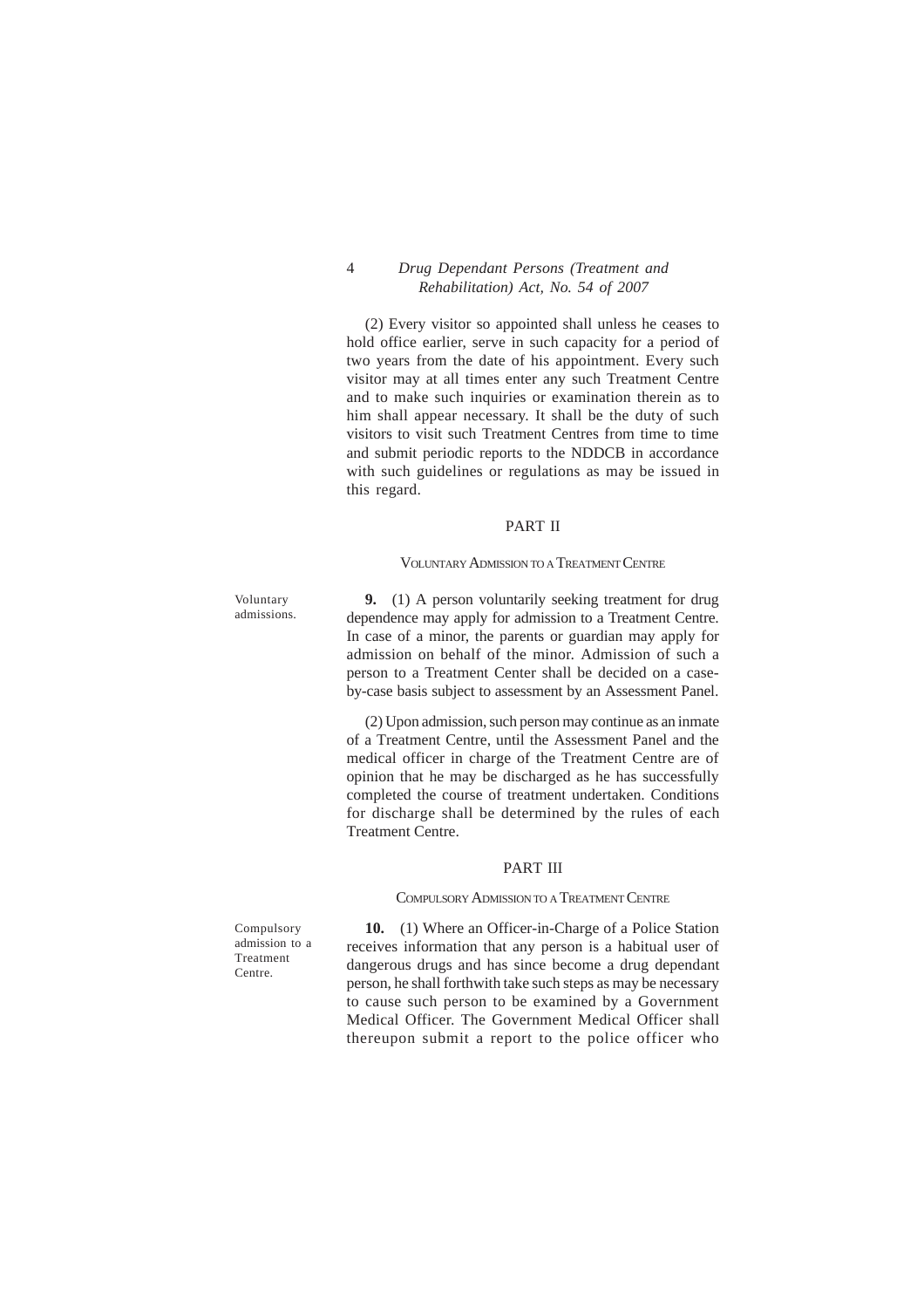## 4 *Drug Dependant Persons (Treatment and Rehabilitation) Act, No. 54 of 2007*

(2) Every visitor so appointed shall unless he ceases to hold office earlier, serve in such capacity for a period of two years from the date of his appointment. Every such visitor may at all times enter any such Treatment Centre and to make such inquiries or examination therein as to him shall appear necessary. It shall be the duty of such visitors to visit such Treatment Centres from time to time and submit periodic reports to the NDDCB in accordance with such guidelines or regulations as may be issued in this regard.

#### PART II

#### VOLUNTARY ADMISSION TO A TREATMENT CENTRE

Voluntary admissions.

**9.** (1) A person voluntarily seeking treatment for drug dependence may apply for admission to a Treatment Centre. In case of a minor, the parents or guardian may apply for admission on behalf of the minor. Admission of such a person to a Treatment Center shall be decided on a caseby-case basis subject to assessment by an Assessment Panel.

(2) Upon admission, such person may continue as an inmate of a Treatment Centre, until the Assessment Panel and the medical officer in charge of the Treatment Centre are of opinion that he may be discharged as he has successfully completed the course of treatment undertaken. Conditions for discharge shall be determined by the rules of each Treatment Centre.

#### PART III

#### COMPULSORY ADMISSION TO A TREATMENT CENTRE

Compulsory admission to a Treatment Centre.

**10.** (1) Where an Officer-in-Charge of a Police Station receives information that any person is a habitual user of dangerous drugs and has since become a drug dependant person, he shall forthwith take such steps as may be necessary to cause such person to be examined by a Government Medical Officer. The Government Medical Officer shall thereupon submit a report to the police officer who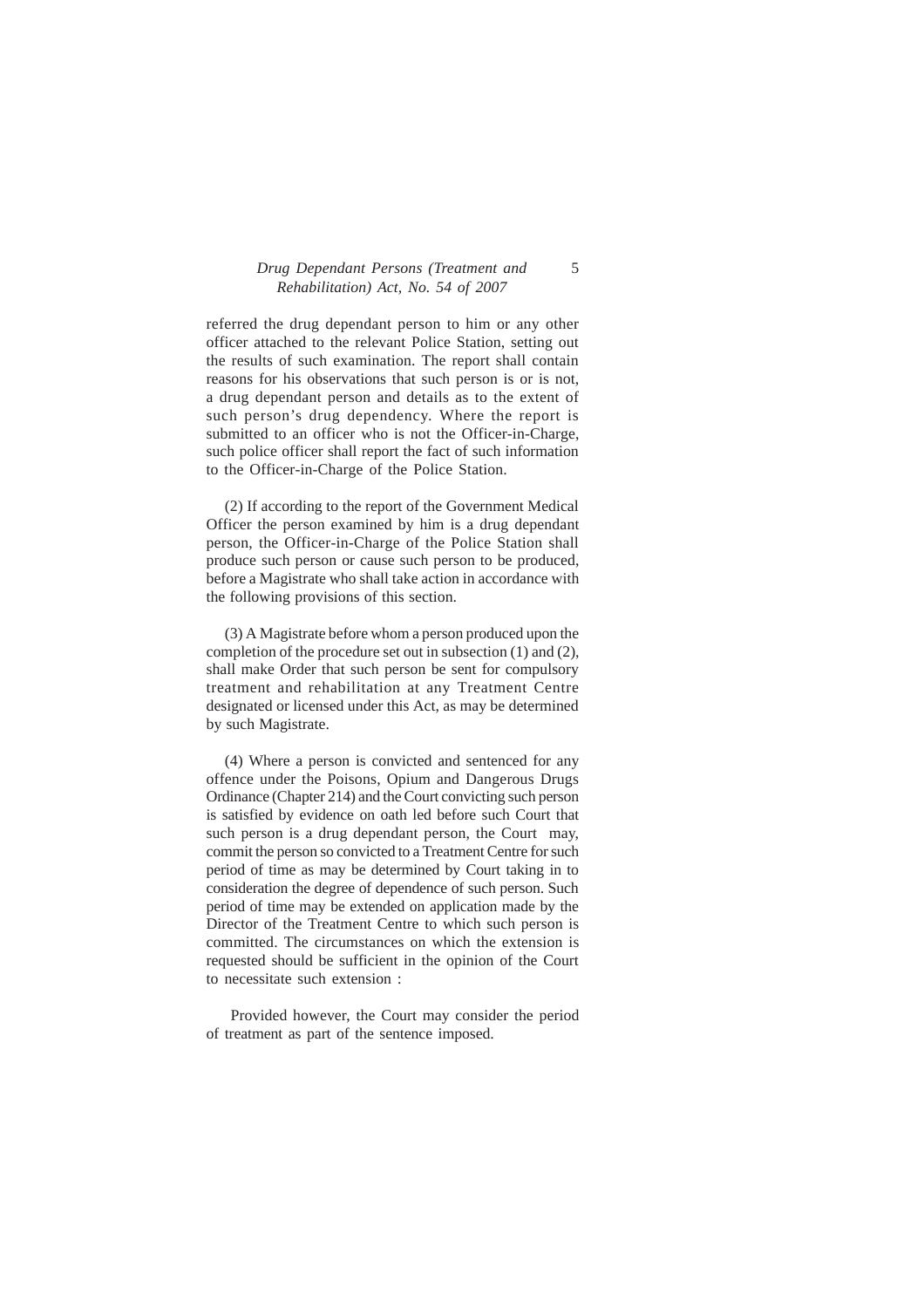## *Drug Dependant Persons (Treatment and* 5 *Rehabilitation) Act, No. 54 of 2007*

referred the drug dependant person to him or any other officer attached to the relevant Police Station, setting out the results of such examination. The report shall contain reasons for his observations that such person is or is not, a drug dependant person and details as to the extent of such person's drug dependency. Where the report is submitted to an officer who is not the Officer-in-Charge, such police officer shall report the fact of such information to the Officer-in-Charge of the Police Station.

(2) If according to the report of the Government Medical Officer the person examined by him is a drug dependant person, the Officer-in-Charge of the Police Station shall produce such person or cause such person to be produced, before a Magistrate who shall take action in accordance with the following provisions of this section.

(3) A Magistrate before whom a person produced upon the completion of the procedure set out in subsection (1) and (2), shall make Order that such person be sent for compulsory treatment and rehabilitation at any Treatment Centre designated or licensed under this Act, as may be determined by such Magistrate.

(4) Where a person is convicted and sentenced for any offence under the Poisons, Opium and Dangerous Drugs Ordinance (Chapter 214) and the Court convicting such person is satisfied by evidence on oath led before such Court that such person is a drug dependant person, the Court may, commit the person so convicted to a Treatment Centre for such period of time as may be determined by Court taking in to consideration the degree of dependence of such person. Such period of time may be extended on application made by the Director of the Treatment Centre to which such person is committed. The circumstances on which the extension is requested should be sufficient in the opinion of the Court to necessitate such extension :

 Provided however, the Court may consider the period of treatment as part of the sentence imposed.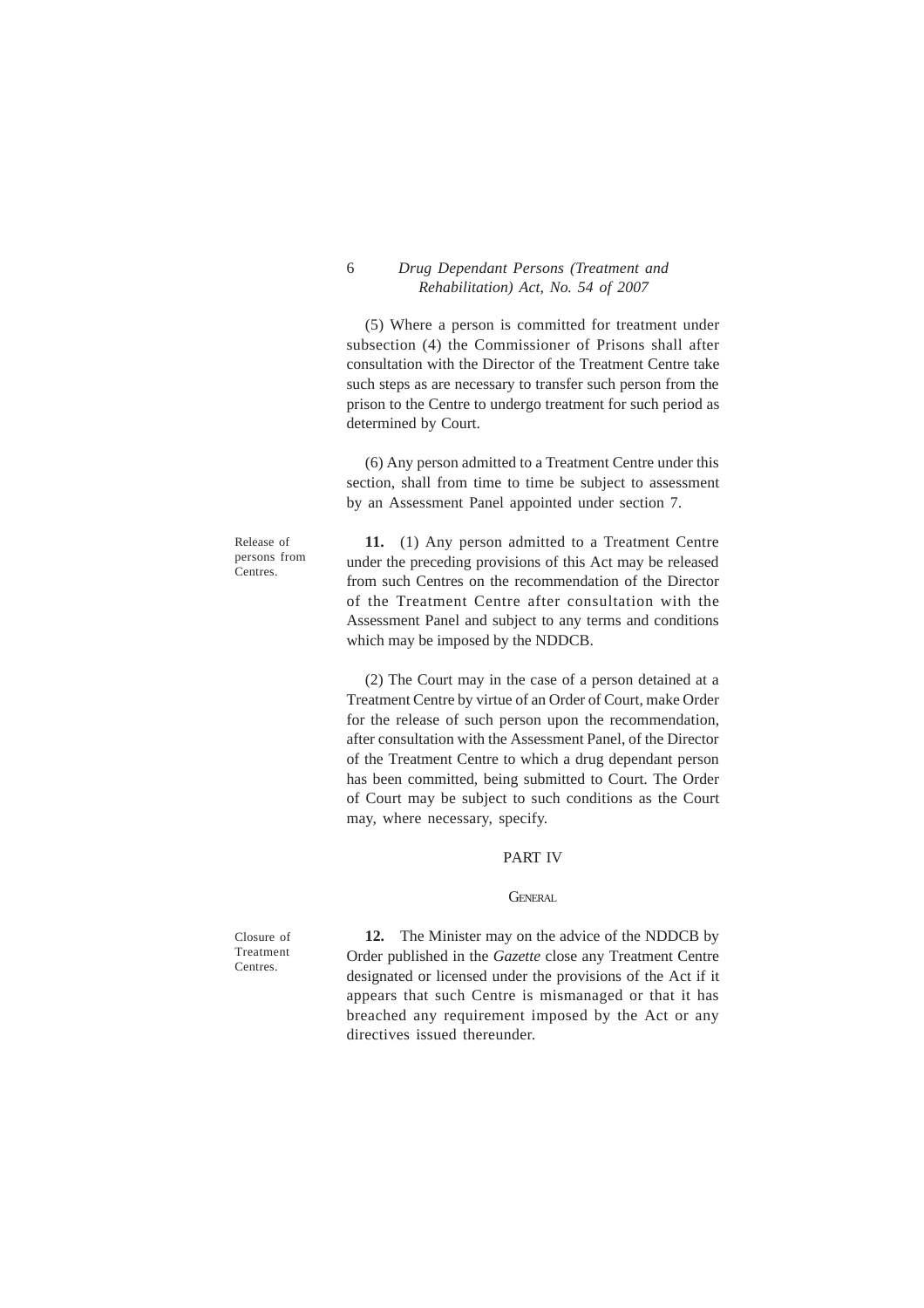## 6 *Drug Dependant Persons (Treatment and Rehabilitation) Act, No. 54 of 2007*

(5) Where a person is committed for treatment under subsection (4) the Commissioner of Prisons shall after consultation with the Director of the Treatment Centre take such steps as are necessary to transfer such person from the prison to the Centre to undergo treatment for such period as determined by Court.

(6) Any person admitted to a Treatment Centre under this section, shall from time to time be subject to assessment by an Assessment Panel appointed under section 7.

Release of persons from Centres.

**11.** (1) Any person admitted to a Treatment Centre under the preceding provisions of this Act may be released from such Centres on the recommendation of the Director of the Treatment Centre after consultation with the Assessment Panel and subject to any terms and conditions which may be imposed by the NDDCB.

(2) The Court may in the case of a person detained at a Treatment Centre by virtue of an Order of Court, make Order for the release of such person upon the recommendation, after consultation with the Assessment Panel, of the Director of the Treatment Centre to which a drug dependant person has been committed, being submitted to Court. The Order of Court may be subject to such conditions as the Court may, where necessary, specify.

#### PART IV

#### **GENERAL**

**12.** The Minister may on the advice of the NDDCB by Order published in the *Gazette* close any Treatment Centre designated or licensed under the provisions of the Act if it appears that such Centre is mismanaged or that it has breached any requirement imposed by the Act or any directives issued thereunder.

Closure of Treatment Centres.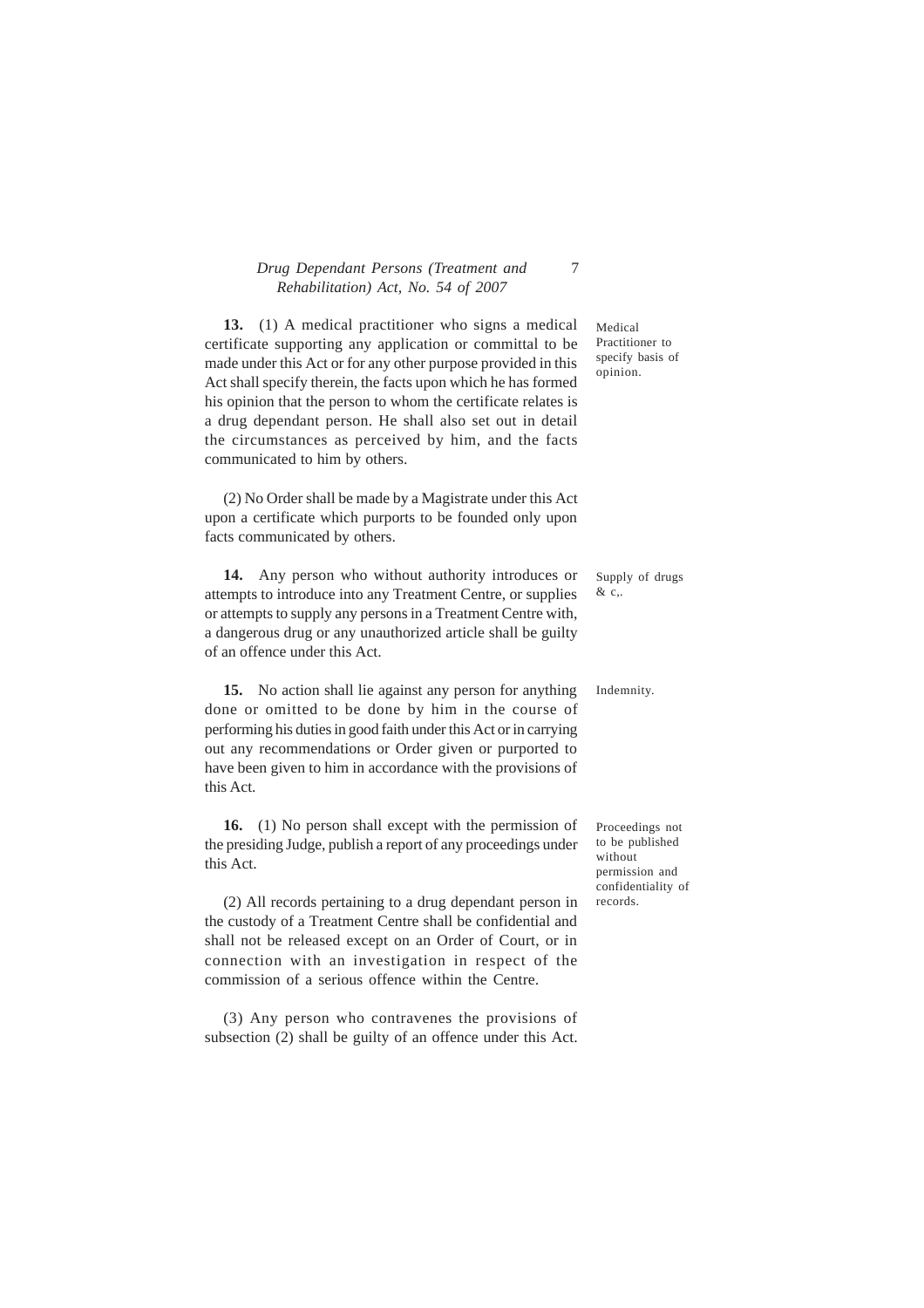## *Drug Dependant Persons (Treatment and* 7 *Rehabilitation) Act, No. 54 of 2007*

**13.** (1) A medical practitioner who signs a medical certificate supporting any application or committal to be made under this Act or for any other purpose provided in this Act shall specify therein, the facts upon which he has formed his opinion that the person to whom the certificate relates is a drug dependant person. He shall also set out in detail the circumstances as perceived by him, and the facts communicated to him by others.

(2) No Order shall be made by a Magistrate under this Act upon a certificate which purports to be founded only upon facts communicated by others.

**14.** Any person who without authority introduces or attempts to introduce into any Treatment Centre, or supplies or attempts to supply any persons in a Treatment Centre with, a dangerous drug or any unauthorized article shall be guilty of an offence under this Act.

**15.** No action shall lie against any person for anything done or omitted to be done by him in the course of performing his duties in good faith under this Act or in carrying out any recommendations or Order given or purported to have been given to him in accordance with the provisions of this Act.

**16.** (1) No person shall except with the permission of the presiding Judge, publish a report of any proceedings under this Act.

(2) All records pertaining to a drug dependant person in the custody of a Treatment Centre shall be confidential and shall not be released except on an Order of Court, or in connection with an investigation in respect of the commission of a serious offence within the Centre.

(3) Any person who contravenes the provisions of subsection (2) shall be guilty of an offence under this Act.

Medical Practitioner to specify basis of opinion.

Supply of drugs & c,.

Indemnity.

Proceedings not to be published without permission and confidentiality of records.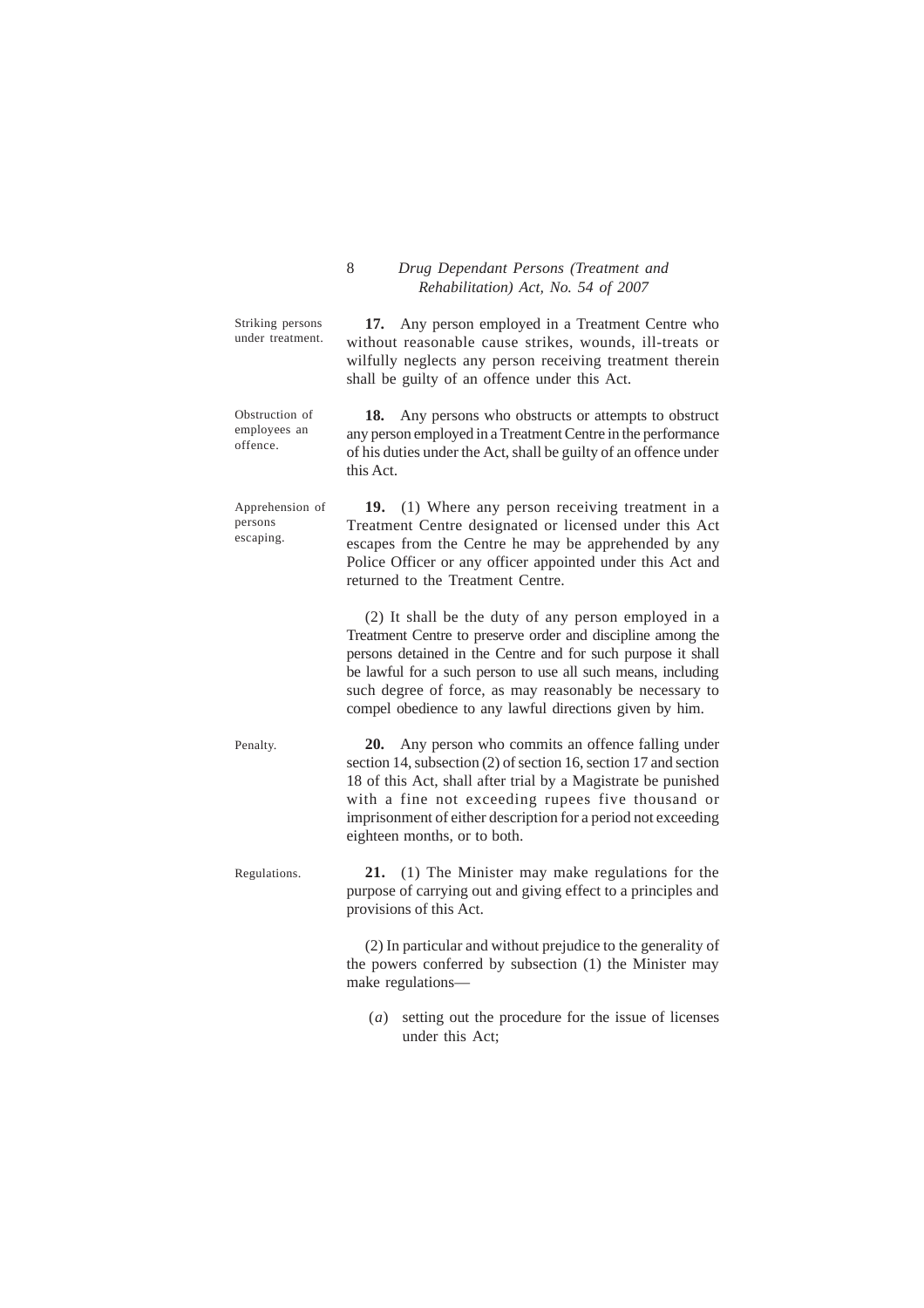|                                            | Rehabilitation) Act, No. 54 of 2007                                                                                                                                                                                                                                                                                                                                       |
|--------------------------------------------|---------------------------------------------------------------------------------------------------------------------------------------------------------------------------------------------------------------------------------------------------------------------------------------------------------------------------------------------------------------------------|
| Striking persons<br>under treatment.       | Any person employed in a Treatment Centre who<br>17.<br>without reasonable cause strikes, wounds, ill-treats or<br>wilfully neglects any person receiving treatment therein<br>shall be guilty of an offence under this Act.                                                                                                                                              |
| Obstruction of<br>employees an<br>offence. | 18.<br>Any persons who obstructs or attempts to obstruct<br>any person employed in a Treatment Centre in the performance<br>of his duties under the Act, shall be guilty of an offence under<br>this Act.                                                                                                                                                                 |
| Apprehension of<br>persons<br>escaping.    | 19. (1) Where any person receiving treatment in a<br>Treatment Centre designated or licensed under this Act<br>escapes from the Centre he may be apprehended by any<br>Police Officer or any officer appointed under this Act and<br>returned to the Treatment Centre.                                                                                                    |
|                                            | (2) It shall be the duty of any person employed in a<br>Treatment Centre to preserve order and discipline among the<br>persons detained in the Centre and for such purpose it shall<br>be lawful for a such person to use all such means, including<br>such degree of force, as may reasonably be necessary to<br>compel obedience to any lawful directions given by him. |
| Penalty.                                   | 20.<br>Any person who commits an offence falling under<br>section 14, subsection (2) of section 16, section 17 and section<br>18 of this Act, shall after trial by a Magistrate be punished<br>with a fine not exceeding rupees five thousand or<br>imprisonment of either description for a period not exceeding<br>eighteen months, or to both.                         |
| Regulations.                               | (1) The Minister may make regulations for the<br>21.<br>purpose of carrying out and giving effect to a principles and<br>provisions of this Act.                                                                                                                                                                                                                          |
|                                            | (2) In particular and without prejudice to the generality of<br>the powers conferred by subsection (1) the Minister may<br>make regulations-                                                                                                                                                                                                                              |

8 *Drug Dependant Persons (Treatment and*

(*a*) setting out the procedure for the issue of licenses under this Act;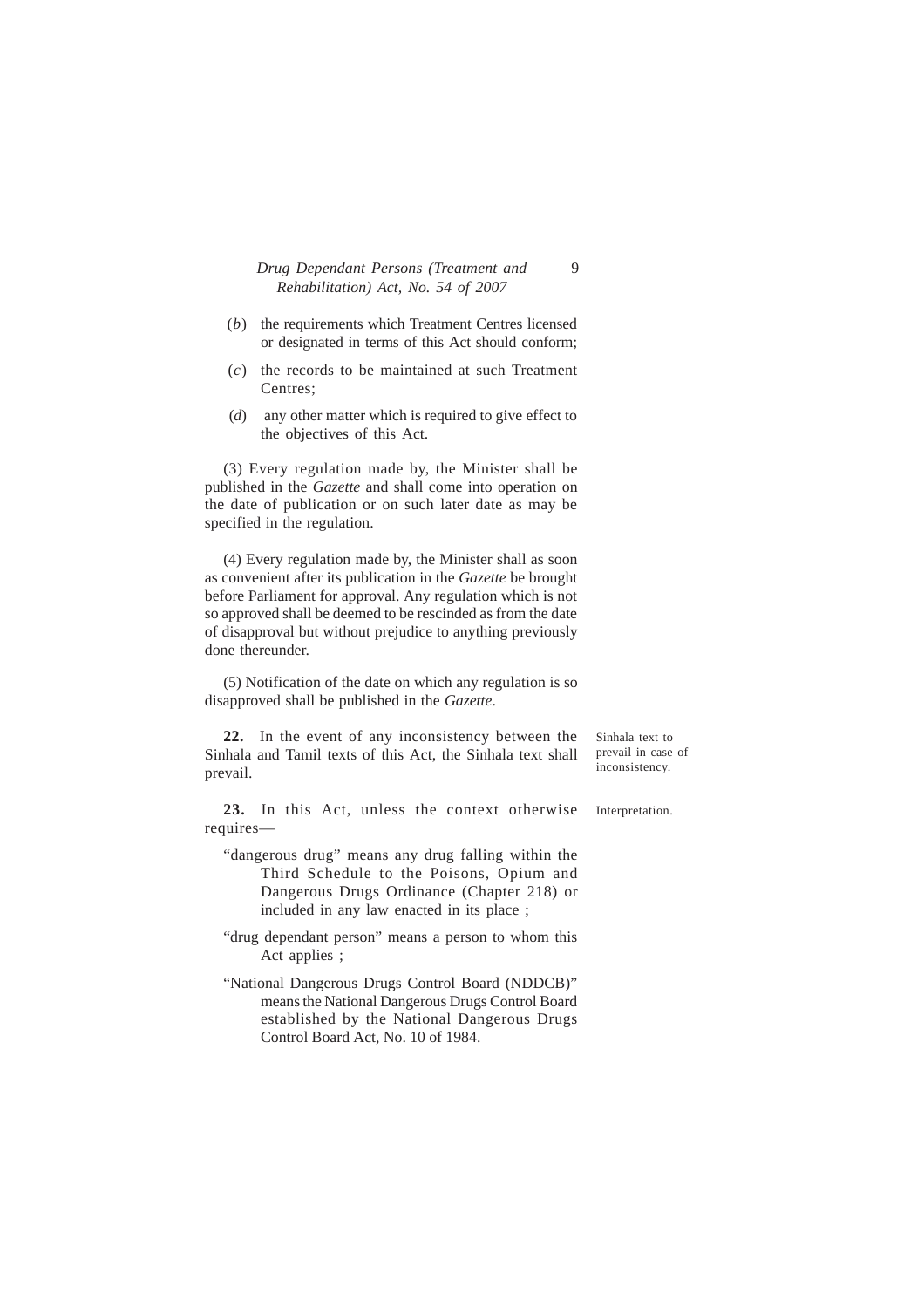## *Drug Dependant Persons (Treatment and* 9 *Rehabilitation) Act, No. 54 of 2007*

- (*b*) the requirements which Treatment Centres licensed or designated in terms of this Act should conform;
- (*c*) the records to be maintained at such Treatment Centres;
- (*d*) any other matter which is required to give effect to the objectives of this Act.

(3) Every regulation made by, the Minister shall be published in the *Gazette* and shall come into operation on the date of publication or on such later date as may be specified in the regulation.

(4) Every regulation made by, the Minister shall as soon as convenient after its publication in the *Gazette* be brought before Parliament for approval. Any regulation which is not so approved shall be deemed to be rescinded as from the date of disapproval but without prejudice to anything previously done thereunder.

(5) Notification of the date on which any regulation is so disapproved shall be published in the *Gazette*.

**22.** In the event of any inconsistency between the Sinhala and Tamil texts of this Act, the Sinhala text shall prevail.

Sinhala text to prevail in case of inconsistency.

**23.** In this Act, unless the context otherwise requires—

- "dangerous drug" means any drug falling within the Third Schedule to the Poisons, Opium and Dangerous Drugs Ordinance (Chapter 218) or included in any law enacted in its place ;
- "drug dependant person" means a person to whom this Act applies ;
- "National Dangerous Drugs Control Board (NDDCB)" means the National Dangerous Drugs Control Board established by the National Dangerous Drugs Control Board Act, No. 10 of 1984.

Interpretation.